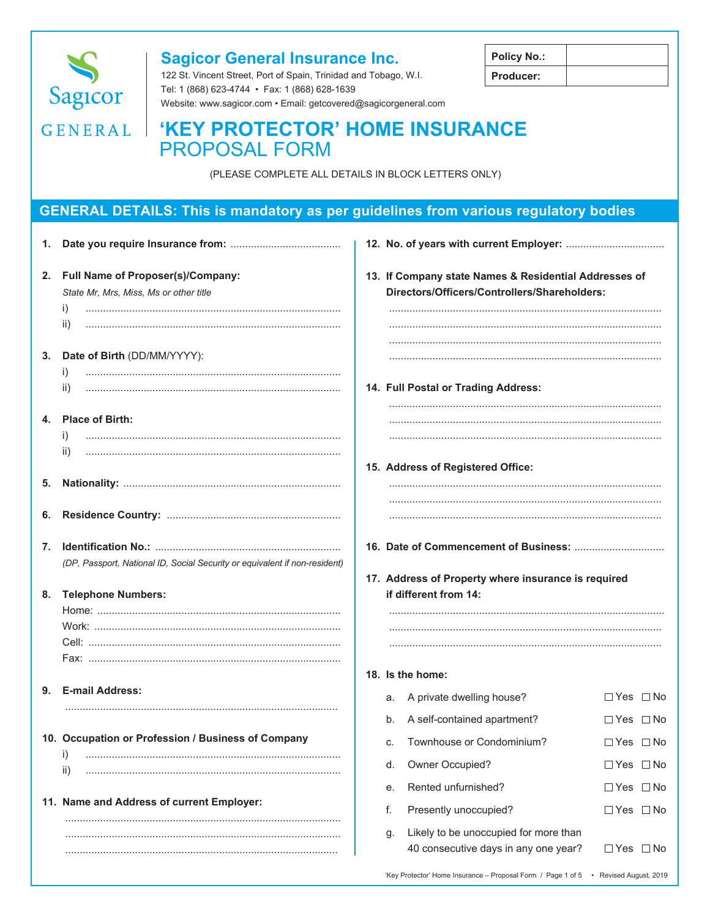

### **Sagicor General Insurance Inc.**

122 St. Vincent Street, Port of Spain, Trinidad and Tobago, W.I. Tel: 1 (868) 623-4744 · Fax: 1 (868) 628-1639 Website: www.sagicor.com · Email: getcovered@sagicorgeneral.com

| <b>Policy No.:</b> |  |
|--------------------|--|
| <b>Producer:</b>   |  |

# GENERAL | 'KEY PROTECTOR' HOME INSURANCE **PROPOSAL FORM**

(PLEASE COMPLETE ALL DETAILS IN BLOCK LETTERS ONLY)

### **GENERAL DETAILS: This is mandatory as per guidelines from various regulatory bodies**

|    | 2. Full Name of Proposer(s)/Company:<br>State Mr, Mrs, Miss, Ms or other title<br>i)<br>ii) |    | 13. If Company state Names & Residential Addresses of<br>Directors/Officers/Controllers/Shareholders: |                      |  |
|----|---------------------------------------------------------------------------------------------|----|-------------------------------------------------------------------------------------------------------|----------------------|--|
|    | 3. Date of Birth (DD/MM/YYYY):<br>$\left  \right $<br>ii)                                   |    | 14. Full Postal or Trading Address:                                                                   |                      |  |
|    | 4. Place of Birth:<br>$_{\rm 1)}$                                                           |    |                                                                                                       |                      |  |
| 5. | ii)                                                                                         |    | 15. Address of Registered Office:                                                                     |                      |  |
| 6. |                                                                                             |    |                                                                                                       |                      |  |
| 7. | (DP, Passport, National ID, Social Security or equivalent if non-resident)                  |    | 17. Address of Property where insurance is required                                                   |                      |  |
| 8. | <b>Telephone Numbers:</b>                                                                   |    | if different from 14:                                                                                 |                      |  |
|    |                                                                                             |    | 18. Is the home:                                                                                      |                      |  |
|    | 9. E-mail Address:                                                                          |    | a. A private dwelling house?                                                                          | $\Box$ Yes $\Box$ No |  |
|    |                                                                                             | b. | A self-contained apartment?                                                                           | □Yes □No             |  |
|    | 10. Occupation or Profession / Business of Company                                          | c. | Townhouse or Condominium?                                                                             | $\Box$ Yes $\Box$ No |  |
|    | i)<br>ii)                                                                                   | d. | Owner Occupied?                                                                                       | □ Yes □ No           |  |
|    |                                                                                             | е. | Rented unfurnished?                                                                                   | $\Box$ Yes $\Box$ No |  |
|    | 11. Name and Address of current Employer:                                                   | f. | Presently unoccupied?                                                                                 | $\Box$ Yes $\Box$ No |  |
|    |                                                                                             | g. | Likely to be unoccupied for more than<br>40 consecutive days in any one year?                         | $\Box$ Yes $\Box$ No |  |
|    |                                                                                             |    | 'Key Protector' Home Insurance - Proposal Form / Page 1 of 5 • Revised August, 2019                   |                      |  |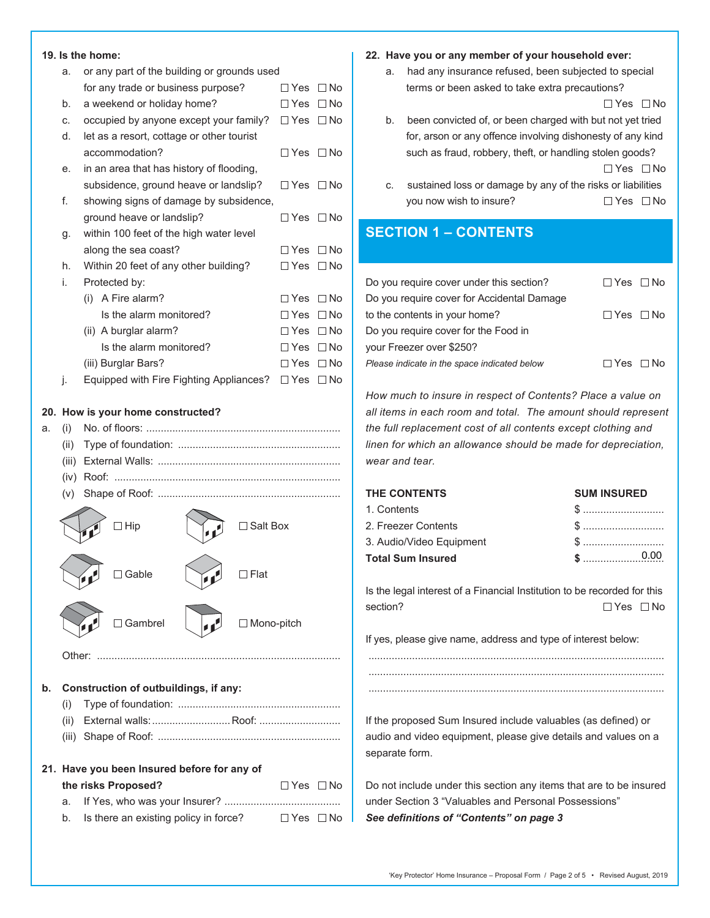## **19. Is the home:**

|     |        | 19. is the nome:                            |               |              |
|-----|--------|---------------------------------------------|---------------|--------------|
|     | a.     | or any part of the building or grounds used |               |              |
|     |        | for any trade or business purpose?          | $\Box$ Yes    | $\square$ No |
|     | b.     | a weekend or holiday home?                  | $\Box$ Yes    | $\Box$ No    |
|     | C.     | occupied by anyone except your family?      | $\Box$ Yes    | $\square$ No |
|     | d.     | let as a resort, cottage or other tourist   |               |              |
|     |        | accommodation?                              | $\Box$ Yes    | $\Box$ No    |
|     | е.     | in an area that has history of flooding,    |               |              |
|     |        | subsidence, ground heave or landslip?       | $\Box$ Yes    | $\square$ No |
|     | f.     | showing signs of damage by subsidence,      |               |              |
|     |        | ground heave or landslip?                   | □ Yes         | $\Box$ No    |
|     | g.     | within 100 feet of the high water level     |               |              |
|     |        | along the sea coast?                        | $\Box$ Yes    | ∩ No         |
|     | h.     | Within 20 feet of any other building?       | $\Box$ Yes    | $\Box$ No    |
|     | i.     | Protected by:                               |               |              |
|     |        | A Fire alarm?<br>(i)                        | $\Box$ Yes    | $\Box$ No    |
|     |        | Is the alarm monitored?                     | $\Box$ Yes    | $\Box$ No    |
|     |        | (ii) A burglar alarm?                       | $\Box$ Yes    | $\square$ No |
|     |        | Is the alarm monitored?                     | $\Box$ Yes    | $\Box$ No    |
|     |        | (iii) Burglar Bars?                         | $\Box$ Yes    | $\Box$ No    |
|     | j.     | Equipped with Fire Fighting Appliances?     | $\square$ Yes | $\square$ No |
| 20. |        | How is your home constructed?               |               |              |
| a.  | (i)    |                                             |               |              |
|     | (ii)   |                                             |               |              |
|     | (iii)  |                                             |               |              |
|     | (iv)   |                                             |               |              |
|     | (V)    |                                             |               |              |
|     |        |                                             |               |              |
|     |        | ∃ Hip<br>∃ Salt Box                         |               |              |
|     |        |                                             |               |              |
|     |        |                                             |               |              |
|     |        | $\Box$ Flat<br>Gable                        |               |              |
|     |        |                                             |               |              |
|     |        | Gambrel<br>□ Mono-pitch                     |               |              |
|     |        |                                             |               |              |
|     | Other: |                                             |               |              |
|     |        |                                             |               |              |
|     |        |                                             |               |              |

**b. Construction of outbuildings, if any:**

- (i) Type of foundation: ........................................................
- (ii) External walls: ............................. Roof: ...............................
- (iii) Shape of Roof: ...............................................................
- **21. Have you been Insured before for any of**

|  | the risks Proposed? | $\Box$ Yes $\Box$ No |  |
|--|---------------------|----------------------|--|
|  |                     |                      |  |

|  | b. Is there an existing policy in force? | $\Box$ Yes $\Box$ No |
|--|------------------------------------------|----------------------|
|--|------------------------------------------|----------------------|

#### **22. Have you or any member of your household ever:**

 a. had any insurance refused, been subjected to special terms or been asked to take extra precautions?

 $\Box$  Yes  $\Box$  No

- b. been convicted of, or been charged with but not yet tried for, arson or any offence involving dishonesty of any kind such as fraud, robbery, theft, or handling stolen goods?  $\Box$  Yes  $\Box$  No
- c. sustained loss or damage by any of the risks or liabilities you now wish to insure?  $\Box$  Yes  $\Box$  No

### **SECTION 1 – CONTENTS**

| Do you require cover under this section?     | $\Box$ Yes $\Box$ No |  |
|----------------------------------------------|----------------------|--|
| Do you require cover for Accidental Damage   |                      |  |
| to the contents in your home?                | $\Box$ Yes $\Box$ No |  |
| Do you require cover for the Food in         |                      |  |
| vour Freezer over \$250?                     |                      |  |
| Please indicate in the space indicated below | $\Box$ Yes $\Box$ No |  |
|                                              |                      |  |

*How much to insure in respect of Contents? Place a value on all items in each room and total. The amount should represent the full replacement cost of all contents except clothing and linen for which an allowance should be made for depreciation, wear and tear.*

| THE CONTENTS             | <b>SUM INSURED</b> |
|--------------------------|--------------------|
| 1. Contents              |                    |
| 2. Freezer Contents      |                    |
| 3. Audio/Video Equipment |                    |
| Total Sum Insured        |                    |
|                          |                    |

Is the legal interest of a Financial Institution to be recorded for this section?  $\Box$  Yes  $\Box$  No

...................................................................................................... ......................................................................................................

If yes, please give name, address and type of interest below:

If the proposed Sum Insured include valuables (as defined) or audio and video equipment, please give details and values on a separate form.

Do not include under this section any items that are to be insured under Section 3 "Valuables and Personal Possessions" *See definitions of "Contents" on page 3*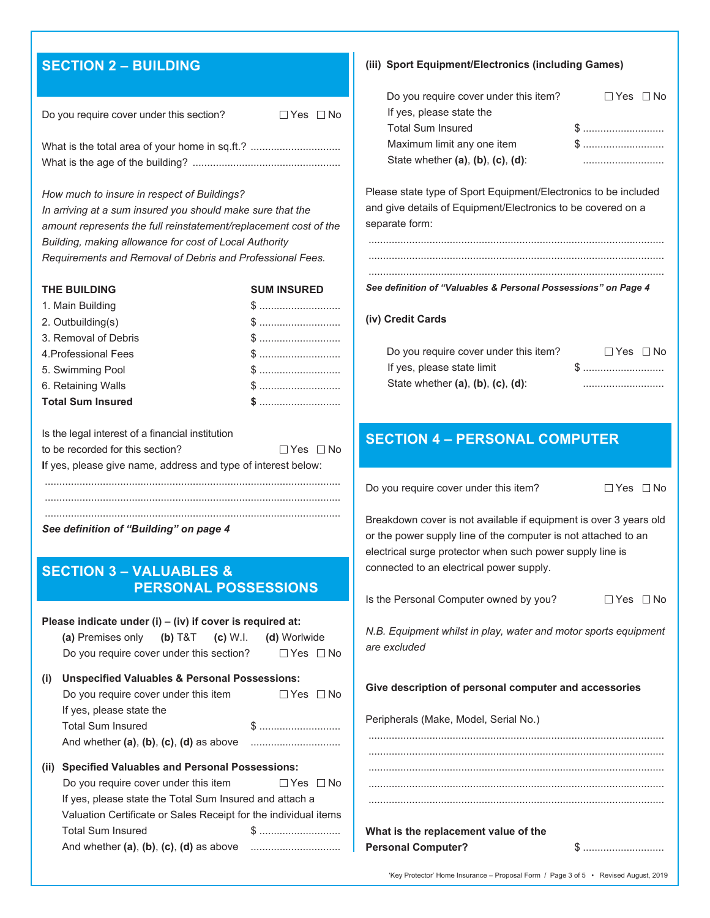# **SECTION 2 – BUILDING**

| Do you require cover under this section? | ∏Yes ∏No |  |
|------------------------------------------|----------|--|
|                                          |          |  |

What is the age of the building? ...................................................

*How much to insure in respect of Buildings?*

*In arriving at a sum insured you should make sure that the amount represents the full reinstatement/replacement cost of the Building, making allowance for cost of Local Authority Requirements and Removal of Debris and Professional Fees.*

| <b>THE BUILDING</b>      | <b>SUM INSURED</b> |
|--------------------------|--------------------|
| 1. Main Building         |                    |
| 2. Outbuilding(s)        |                    |
| 3. Removal of Debris     |                    |
| 4. Professional Fees     |                    |
| 5. Swimming Pool         |                    |
| 6. Retaining Walls       |                    |
| <b>Total Sum Insured</b> |                    |

| Is the legal interest of a financial institution              |                      |  |
|---------------------------------------------------------------|----------------------|--|
| to be recorded for this section?                              | $\Box$ Yes $\Box$ No |  |
| If yes, please give name, address and type of interest below: |                      |  |
|                                                               |                      |  |
|                                                               |                      |  |

*See definition of "Building" on page 4*

### **SECTION 3 – VALUABLES & PERSONAL POSSESSIONS**

#### **Please indicate under (i) – (iv) if cover is required at:**

| (i) | <b>Unspecified Valuables &amp; Personal Possessions:</b> |         |                           |  |
|-----|----------------------------------------------------------|---------|---------------------------|--|
|     | Do you require cover under this section?                 |         | □Yes □No                  |  |
|     | (a) Premises only                                        | (b) T&T | $(c) W.I.$ $(d) Wor wide$ |  |

| $\mathbf{u}$ , who position tandaries of the change to separate the second term $\mathbf{u}$ |                      |
|----------------------------------------------------------------------------------------------|----------------------|
| Do you require cover under this item                                                         | $\Box$ Yes $\Box$ No |
| If yes, please state the                                                                     |                      |
| <b>Total Sum Insured</b>                                                                     |                      |
| And whether $(a)$ , $(b)$ , $(c)$ , $(d)$ as above                                           |                      |

| (ii) Specified Valuables and Personal Possessions:              |                      |  |
|-----------------------------------------------------------------|----------------------|--|
| Do you require cover under this item                            | $\Box$ Yes $\Box$ No |  |
| If yes, please state the Total Sum Insured and attach a         |                      |  |
| Valuation Certificate or Sales Receipt for the individual items |                      |  |

Total Sum Insured \$ ............................ And whether **(a)**, **(b)**, **(c)**, **(d)** as above ...............................

|  | (iii) Sport Equipment/Electronics (including Games) |
|--|-----------------------------------------------------|
|--|-----------------------------------------------------|

| Do you require cover under this item?         | $\Box$ Yes $\Box$ No |
|-----------------------------------------------|----------------------|
| If yes, please state the                      |                      |
| <b>Total Sum Insured</b>                      |                      |
| Maximum limit any one item                    |                      |
| State whether $(a)$ , $(b)$ , $(c)$ , $(d)$ : | .                    |

Please state type of Sport Equipment/Electronics to be included and give details of Equipment/Electronics to be covered on a separate form:

...................................................................................................... ......................................................................................................

#### ...................................................................................................... *See definition of "Valuables & Personal Possessions" on Page 4*

#### **(iv) Credit Cards**

| Do you require cover under this item?         | $\Box$ Yes $\Box$ No |
|-----------------------------------------------|----------------------|
| If yes, please state limit                    | \$                   |
| State whether $(a)$ , $(b)$ , $(c)$ , $(d)$ : |                      |

### **SECTION 4 – PERSONAL COMPUTER**

Do you require cover under this item?  $\square$  Yes  $\square$  No

Breakdown cover is not available if equipment is over 3 years old or the power supply line of the computer is not attached to an electrical surge protector when such power supply line is connected to an electrical power supply.

|  | Is the Personal Computer owned by you? | $\Box$ Yes $\Box$ No |  |
|--|----------------------------------------|----------------------|--|
|  |                                        |                      |  |

*N.B. Equipment whilst in play, water and motor sports equipment are excluded*

......................................................................................................

**Give description of personal computer and accessories**

Peripherals (Make, Model, Serial No.)

| What is the replacement value of the |                                                            |
|--------------------------------------|------------------------------------------------------------|
| <b>Personal Computer?</b>            | $\$\ldots\ldots\ldots\ldots\ldots\ldots\ldots\ldots\ldots$ |

'Key Protector' Home Insurance – Proposal Form / Page 3 of 5 • Revised August, 2019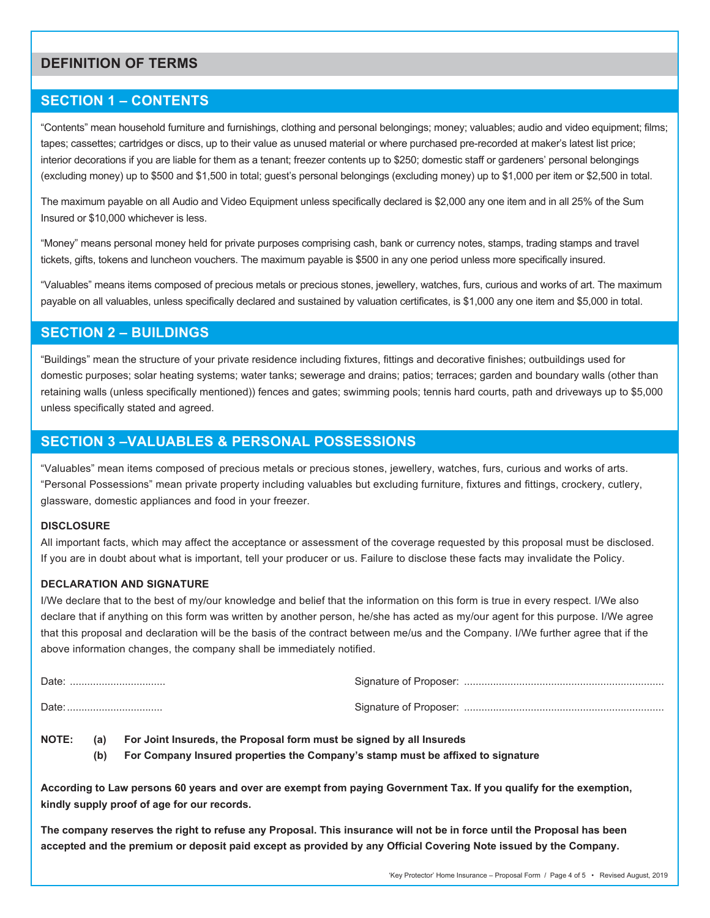### **DEFINITION OF TERMS**

### **SECTION 1 – CONTENTS**

"Contents" mean household furniture and furnishings, clothing and personal belongings; money; valuables; audio and video equipment; films; tapes; cassettes; cartridges or discs, up to their value as unused material or where purchased pre-recorded at maker's latest list price; interior decorations if you are liable for them as a tenant; freezer contents up to \$250; domestic staff or gardeners' personal belongings (excluding money) up to \$500 and \$1,500 in total; guest's personal belongings (excluding money) up to \$1,000 per item or \$2,500 in total.

The maximum payable on all Audio and Video Equipment unless specifically declared is \$2,000 any one item and in all 25% of the Sum Insured or \$10,000 whichever is less.

"Money" means personal money held for private purposes comprising cash, bank or currency notes, stamps, trading stamps and travel tickets, gifts, tokens and luncheon vouchers. The maximum payable is \$500 in any one period unless more specifically insured.

"Valuables" means items composed of precious metals or precious stones, jewellery, watches, furs, curious and works of art. The maximum payable on all valuables, unless specifically declared and sustained by valuation certificates, is \$1,000 any one item and \$5,000 in total.

### **SECTION 2 – BUILDINGS**

"Buildings" mean the structure of your private residence including fixtures, fittings and decorative finishes; outbuildings used for domestic purposes; solar heating systems; water tanks; sewerage and drains; patios; terraces; garden and boundary walls (other than retaining walls (unless specifically mentioned)) fences and gates; swimming pools; tennis hard courts, path and driveways up to \$5,000 unless specifically stated and agreed.

### **SECTION 3 –VALUABLES & PERSONAL POSSESSIONS**

"Valuables" mean items composed of precious metals or precious stones, jewellery, watches, furs, curious and works of arts. "Personal Possessions" mean private property including valuables but excluding furniture, fixtures and fittings, crockery, cutlery, glassware, domestic appliances and food in your freezer.

#### **DISCLOSURE**

All important facts, which may affect the acceptance or assessment of the coverage requested by this proposal must be disclosed. If you are in doubt about what is important, tell your producer or us. Failure to disclose these facts may invalidate the Policy.

#### **DECLARATION AND SIGNATURE**

I/We declare that to the best of my/our knowledge and belief that the information on this form is true in every respect. I/We also declare that if anything on this form was written by another person, he/she has acted as my/our agent for this purpose. I/We agree that this proposal and declaration will be the basis of the contract between me/us and the Company. I/We further agree that if the above information changes, the company shall be immediately notified.

- **NOTE: (a) For Joint Insureds, the Proposal form must be signed by all Insureds**
	- **(b) For Company Insured properties the Company's stamp must be affixed to signature**

**According to Law persons 60 years and over are exempt from paying Government Tax. If you qualify for the exemption, kindly supply proof of age for our records.**

**The company reserves the right to refuse any Proposal. This insurance will not be in force until the Proposal has been accepted and the premium or deposit paid except as provided by any Official Covering Note issued by the Company.**